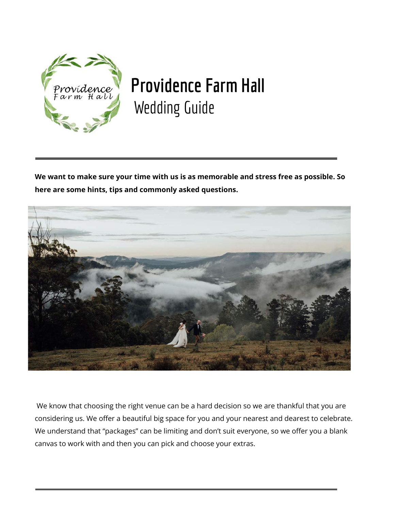

# **Providence Farm Hall** Wedding Guide

**We want to make sure your time with us is as memorable and stress free as possible. So here are some hints, tips and commonly asked questions.**



We know that choosing the right venue can be a hard decision so we are thankful that you are considering us. We offer a beautiful big space for you and your nearest and dearest to celebrate. We understand that "packages" can be limiting and don't suit everyone, so we offer you a blank canvas to work with and then you can pick and choose your extras.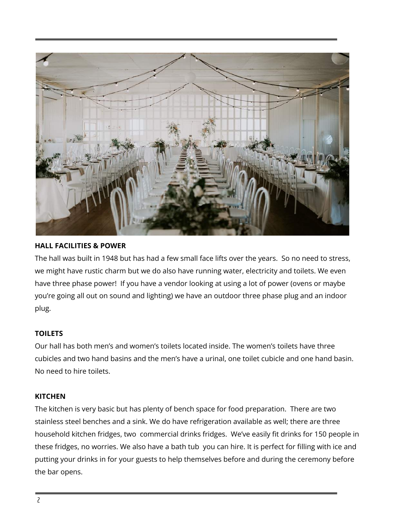

## **HALL FACILITIES & POWER**

The hall was built in 1948 but has had a few small face lifts over the years. So no need to stress, we might have rustic charm but we do also have running water, electricity and toilets. We even have three phase power! If you have a vendor looking at using a lot of power (ovens or maybe you're going all out on sound and lighting) we have an outdoor three phase plug and an indoor plug.

# **TOILETS**

Our hall has both men's and women's toilets located inside. The women's toilets have three cubicles and two hand basins and the men's have a urinal, one toilet cubicle and one hand basin. No need to hire toilets.

#### **KITCHEN**

The kitchen is very basic but has plenty of bench space for food preparation. There are two stainless steel benches and a sink. We do have refrigeration available as well; there are three household kitchen fridges, two commercial drinks fridges. We've easily fit drinks for 150 people in these fridges, no worries. We also have a bath tub you can hire. It is perfect for filling with ice and putting your drinks in for your guests to help themselves before and during the ceremony before the bar opens.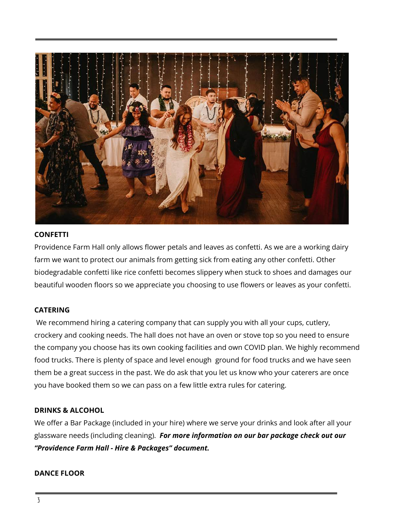

#### **CONFETTI**

Providence Farm Hall only allows flower petals and leaves as confetti. As we are a working dairy farm we want to protect our animals from getting sick from eating any other confetti. Other biodegradable confetti like rice confetti becomes slippery when stuck to shoes and damages our beautiful wooden floors so we appreciate you choosing to use flowers or leaves as your confetti.

# **CATERING**

We recommend hiring a catering company that can supply you with all your cups, cutlery, crockery and cooking needs. The hall does not have an oven or stove top so you need to ensure the company you choose has its own cooking facilities and own COVID plan. We highly recommend food trucks. There is plenty of space and level enough ground for food trucks and we have seen them be a great success in the past. We do ask that you let us know who your caterers are once you have booked them so we can pass on a few little extra rules for catering.

#### **DRINKS & ALCOHOL**

We offer a Bar Package (included in your hire) where we serve your drinks and look after all your glassware needs (including cleaning). *For more information on our bar package check out our "Providence Farm Hall - Hire & Packages" document.*

#### **DANCE FLOOR**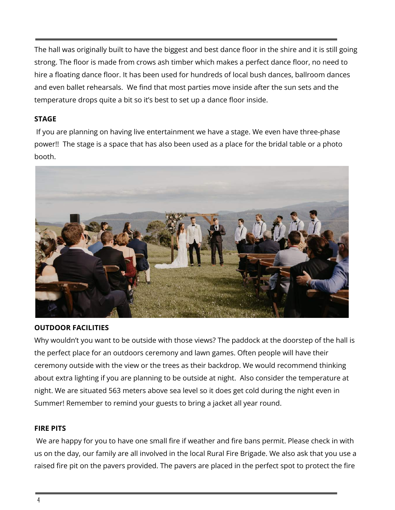The hall was originally built to have the biggest and best dance floor in the shire and it is still going strong. The floor is made from crows ash timber which makes a perfect dance floor, no need to hire a floating dance floor. It has been used for hundreds of local bush dances, ballroom dances and even ballet rehearsals. We find that most parties move inside after the sun sets and the temperature drops quite a bit so it's best to set up a dance floor inside.

## **STAGE**

If you are planning on having live entertainment we have a stage. We even have three-phase power!! The stage is a space that has also been used as a place for the bridal table or a photo booth.



#### **OUTDOOR FACILITIES**

Why wouldn't you want to be outside with those views? The paddock at the doorstep of the hall is the perfect place for an outdoors ceremony and lawn games. Often people will have their ceremony outside with the view or the trees as their backdrop. We would recommend thinking about extra lighting if you are planning to be outside at night. Also consider the temperature at night. We are situated 563 meters above sea level so it does get cold during the night even in Summer! Remember to remind your guests to bring a jacket all year round.

#### **FIRE PITS**

We are happy for you to have one small fire if weather and fire bans permit. Please check in with us on the day, our family are all involved in the local Rural Fire Brigade. We also ask that you use a raised fire pit on the pavers provided. The pavers are placed in the perfect spot to protect the fire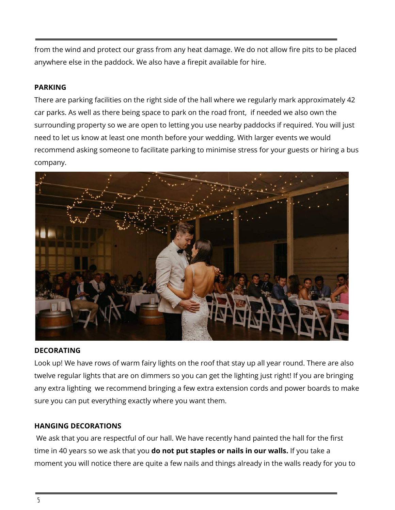from the wind and protect our grass from any heat damage. We do not allow fire pits to be placed anywhere else in the paddock. We also have a firepit available for hire.

## **PARKING**

There are parking facilities on the right side of the hall where we regularly mark approximately 42 car parks. As well as there being space to park on the road front, if needed we also own the surrounding property so we are open to letting you use nearby paddocks if required. You will just need to let us know at least one month before your wedding. With larger events we would recommend asking someone to facilitate parking to minimise stress for your guests or hiring a bus company.



#### **DECORATING**

Look up! We have rows of warm fairy lights on the roof that stay up all year round. There are also twelve regular lights that are on dimmers so you can get the lighting just right! If you are bringing any extra lighting we recommend bringing a few extra extension cords and power boards to make sure you can put everything exactly where you want them.

# **HANGING DECORATIONS**

We ask that you are respectful of our hall. We have recently hand painted the hall for the first time in 40 years so we ask that you **do not put staples or nails in our walls.** If you take a moment you will notice there are quite a few nails and things already in the walls ready for you to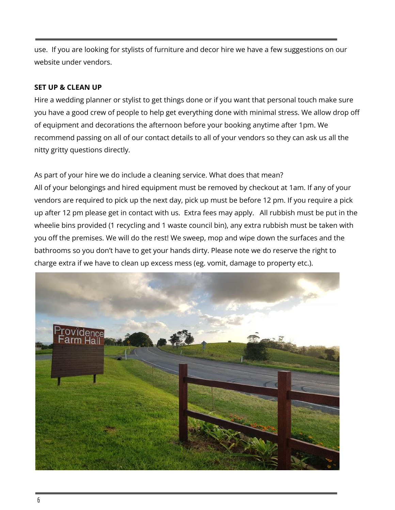use. If you are looking for stylists of furniture and decor hire we have a few suggestions on our website under vendors.

## **SET UP & CLEAN UP**

Hire a wedding planner or stylist to get things done or if you want that personal touch make sure you have a good crew of people to help get everything done with minimal stress. We allow drop off of equipment and decorations the afternoon before your booking anytime after 1pm. We recommend passing on all of our contact details to all of your vendors so they can ask us all the nitty gritty questions directly.

As part of your hire we do include a cleaning service. What does that mean? All of your belongings and hired equipment must be removed by checkout at 1am. If any of your vendors are required to pick up the next day, pick up must be before 12 pm. If you require a pick up after 12 pm please get in contact with us. Extra fees may apply. All rubbish must be put in the wheelie bins provided (1 recycling and 1 waste council bin), any extra rubbish must be taken with you off the premises. We will do the rest! We sweep, mop and wipe down the surfaces and the bathrooms so you don't have to get your hands dirty. Please note we do reserve the right to charge extra if we have to clean up excess mess (eg. vomit, damage to property etc.).